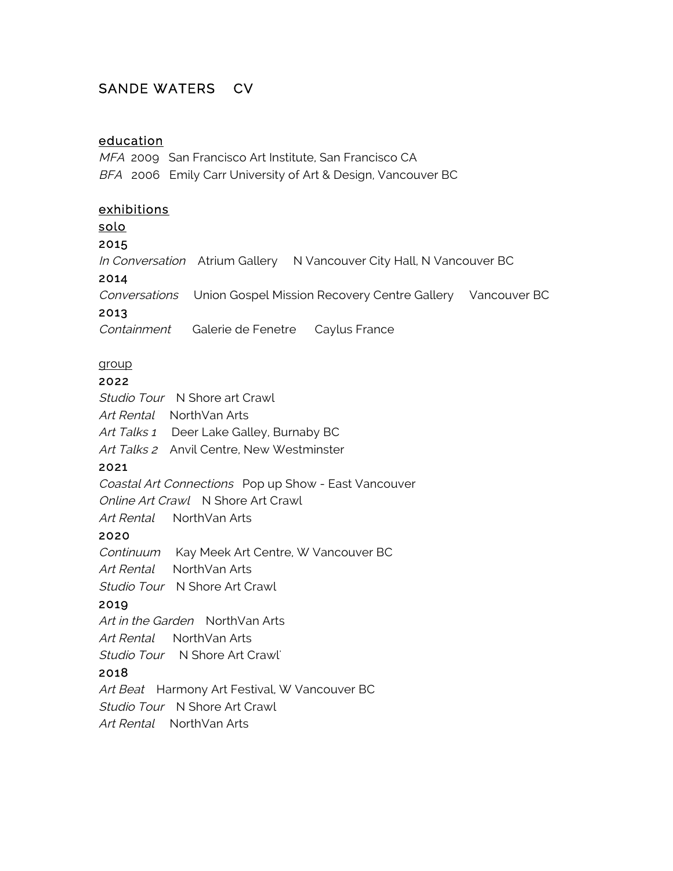# SANDE WATERS CV

## education

MFA 2009 San Francisco Art Institute, San Francisco CA BFA 2006 Emily Carr University of Art & Design, Vancouver BC

## exhibitions

solo

#### 2015

In Conversation Atrium Gallery N Vancouver City Hall, N Vancouver BC

#### 2014

Conversations Union Gospel Mission Recovery Centre Gallery Vancouver BC

#### 2013

Containment Galerie de Fenetre Caylus France

## group

#### 2022

Studio Tour N Shore art Crawl Art Rental NorthVan Arts Art Talks 1 Deer Lake Galley, Burnaby BC Art Talks 2 Anvil Centre, New Westminster

## 2021

Coastal Art Connections Pop up Show - East Vancouver Online Art Crawl N Shore Art Crawl

Art Rental NorthVan Arts

## 2020

Continuum Kay Meek Art Centre, W Vancouver BC

Art Rental NorthVan Arts

Studio Tour N Shore Art Crawl

## 2019

Art in the Garden NorthVan Arts

Art Rental NorthVan Arts

Studio Tour N Shore Art Crawl'

## 2018

Art Beat Harmony Art Festival, W Vancouver BC Studio Tour N Shore Art Crawl

Art Rental NorthVan Arts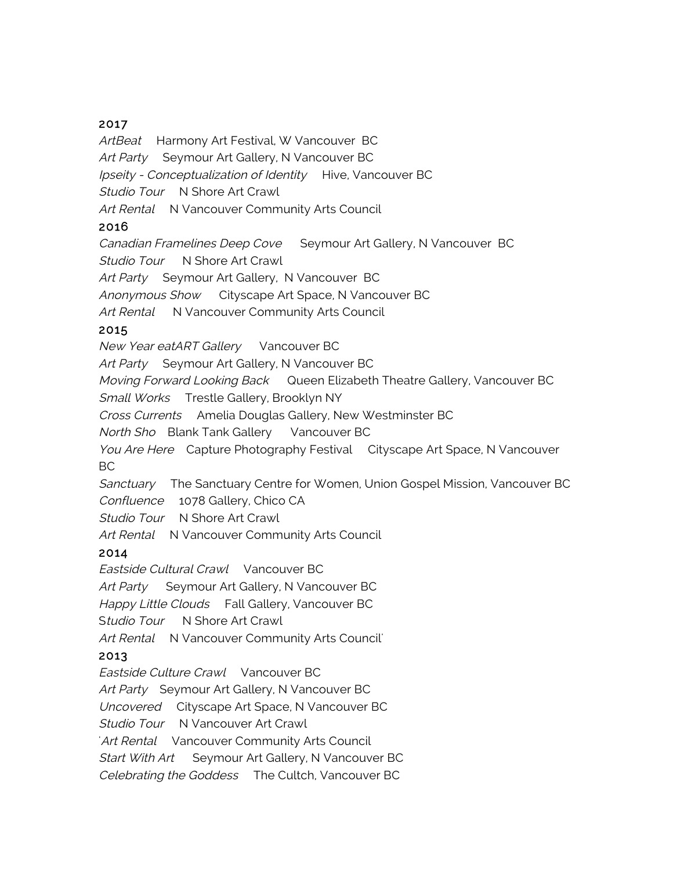#### 2017

ArtBeat Harmony Art Festival, W Vancouver BC Art Party Seymour Art Gallery, N Vancouver BC Ipseity - Conceptualization of Identity Hive, Vancouver BC Studio Tour N Shore Art Crawl Art Rental N Vancouver Community Arts Council

#### 2016

Canadian Framelines Deep Cove Seymour Art Gallery, N Vancouver BC

Studio Tour N Shore Art Crawl

Art Party Seymour Art Gallery, N Vancouver BC

Anonymous Show Cityscape Art Space, N Vancouver BC

Art Rental N Vancouver Community Arts Council

#### 2015

New Year eatART Gallery Vancouver BC

Art Party Seymour Art Gallery, N Vancouver BC

Moving Forward Looking Back Queen Elizabeth Theatre Gallery, Vancouver BC

Small Works Trestle Gallery, Brooklyn NY

Cross Currents Amelia Douglas Gallery, New Westminster BC

North Sho Blank Tank Gallery Vancouver BC

You Are Here Capture Photography Festival Cityscape Art Space, N Vancouver BC

Sanctuary The Sanctuary Centre for Women, Union Gospel Mission, Vancouver BC Confluence 1078 Gallery, Chico CA

Studio Tour N Shore Art Crawl

Art Rental N Vancouver Community Arts Council

## 2014

Eastside Cultural Crawl Vancouver BC Art Party Seymour Art Gallery, N Vancouver BC Happy Little Clouds Fall Gallery, Vancouver BC Studio Tour N Shore Art Crawl Art Rental N Vancouver Community Arts Council

## 2013

Eastside Culture Crawl Vancouver BC

Art Party Seymour Art Gallery, N Vancouver BC

Uncovered Cityscape Art Space, N Vancouver BC

Studio Tour N Vancouver Art Crawl

Art Rental Vancouver Community Arts Council

Start With Art Seymour Art Gallery, N Vancouver BC

Celebrating the Goddess The Cultch, Vancouver BC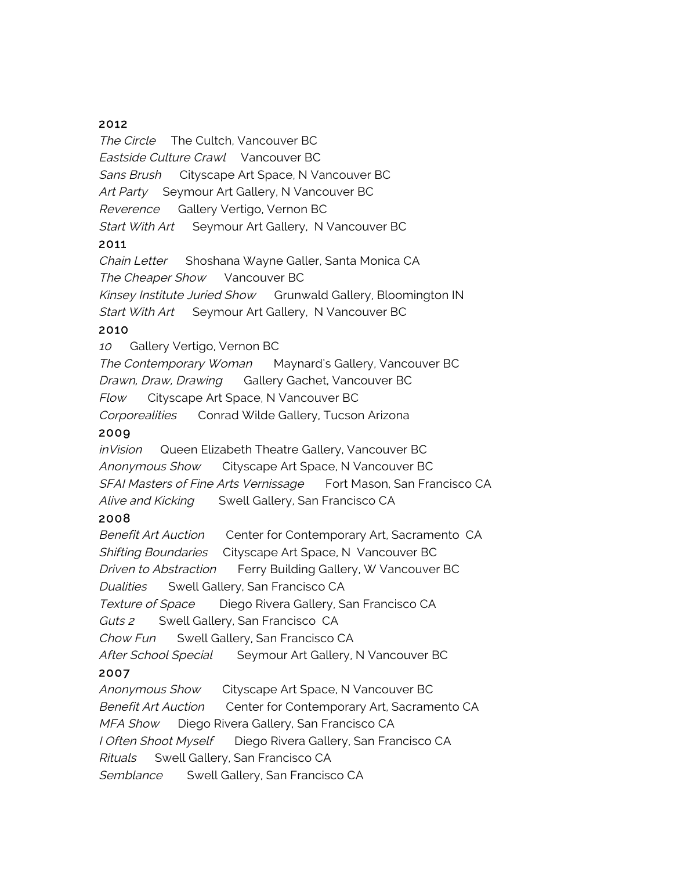#### 2012

The Circle The Cultch, Vancouver BC Eastside Culture Crawl Vancouver BC Sans Brush Cityscape Art Space, N Vancouver BC Art Party Seymour Art Gallery, N Vancouver BC Reverence Gallery Vertigo, Vernon BC Start With Art Seymour Art Gallery, N Vancouver BC 2011

Chain Letter Shoshana Wayne Galler, Santa Monica CA The Cheaper Show Vancouver BC Kinsey Institute Juried Show Grunwald Gallery, Bloomington IN Start With Art Seymour Art Gallery, N Vancouver BC 2010

<sup>10</sup> Gallery Vertigo, Vernon BC

The Contemporary Woman Maynard's Gallery, Vancouver BC Drawn, Draw, Drawing Gallery Gachet, Vancouver BC Flow Cityscape Art Space, N Vancouver BC Corporealities Conrad Wilde Gallery, Tucson Arizona

#### 2009

inVision Queen Elizabeth Theatre Gallery, Vancouver BC Anonymous Show Cityscape Art Space, N Vancouver BC SFAI Masters of Fine Arts Vernissage Fort Mason, San Francisco CA Alive and Kicking Swell Gallery, San Francisco CA

#### 2008

Benefit Art Auction Center for Contemporary Art, Sacramento CA Shifting Boundaries Cityscape Art Space, N Vancouver BC Driven to Abstraction Ferry Building Gallery, W Vancouver BC Dualities Swell Gallery, San Francisco CA Texture of Space Diego Rivera Gallery, San Francisco CA Guts 2 Swell Gallery, San Francisco CA Chow Fun Swell Gallery, San Francisco CA After School Special Seymour Art Gallery, N Vancouver BC 2007 Anonymous Show Cityscape Art Space, N Vancouver BC Benefit Art Auction Center for Contemporary Art, Sacramento CA MFA Show Diego Rivera Gallery, San Francisco CA I Often Shoot Myself Diego Rivera Gallery, San Francisco CA Rituals Swell Gallery, San Francisco CA Semblance Swell Gallery, San Francisco CA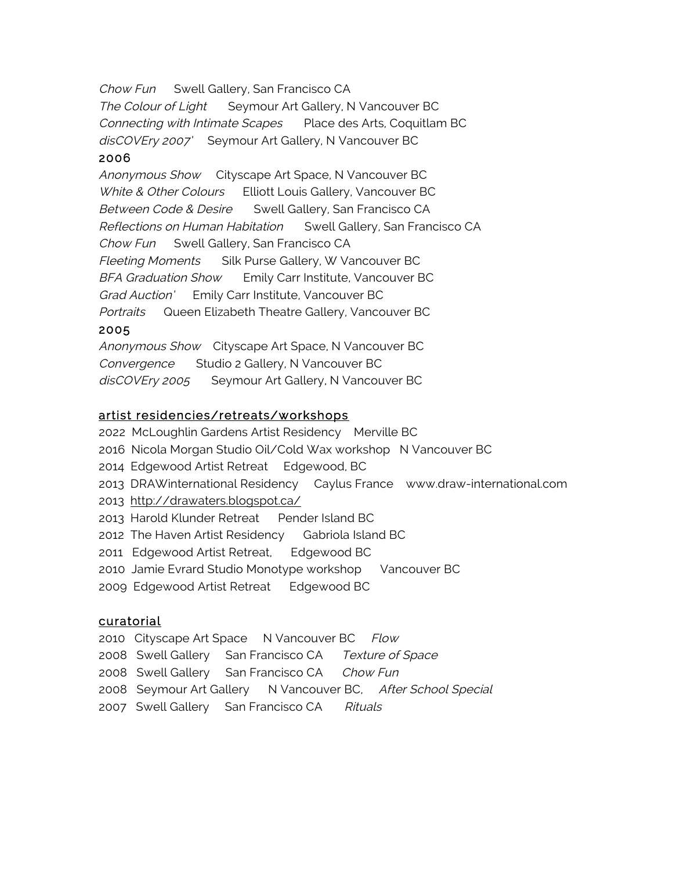Chow Fun Swell Gallery, San Francisco CA The Colour of Light Seymour Art Gallery, N Vancouver BC Connecting with Intimate Scapes Place des Arts, Coquitlam BC disCOVEry 2007' Seymour Art Gallery, N Vancouver BC

#### 2006

Anonymous Show Cityscape Art Space, N Vancouver BC White & Other Colours Elliott Louis Gallery, Vancouver BC Between Code & Desire Swell Gallery, San Francisco CA Reflections on Human Habitation Swell Gallery, San Francisco CA Chow Fun Swell Gallery, San Francisco CA Fleeting Moments Silk Purse Gallery, W Vancouver BC BFA Graduation Show Emily Carr Institute, Vancouver BC Grad Auction' Emily Carr Institute, Vancouver BC Portraits Queen Elizabeth Theatre Gallery, Vancouver BC 2005 Anonymous Show Cityscape Art Space, N Vancouver BC

Convergence Studio 2 Gallery, N Vancouver BC disCOVEry 2005 Seymour Art Gallery, N Vancouver BC

#### artist residencies/retreats/workshops

- 2022 McLoughlin Gardens Artist Residency Merville BC
- 2016 Nicola Morgan Studio Oil/Cold Wax workshop N Vancouver BC
- 2014 Edgewood Artist Retreat Edgewood, BC
- 2013 DRAWinternational Residency Caylus France www.draw-international.com
- 2013 http://drawaters.blogspot.ca/
- 2013 Harold Klunder Retreat Pender Island BC
- 2012 The Haven Artist Residency Gabriola Island BC
- 2011 Edgewood Artist Retreat, Edgewood BC
- 2010 Jamie Evrard Studio Monotype workshop Vancouver BC
- 2009 Edgewood Artist Retreat Edgewood BC

#### curatorial

- 2010 Cityscape Art Space N Vancouver BC Flow
- 2008 Swell Gallery San Francisco CA Texture of Space
- 2008 Swell Gallery San Francisco CA Chow Fun
- 2008 Seymour Art Gallery N Vancouver BC, After School Special
- 2007 Swell Gallery San Francisco CA Rituals